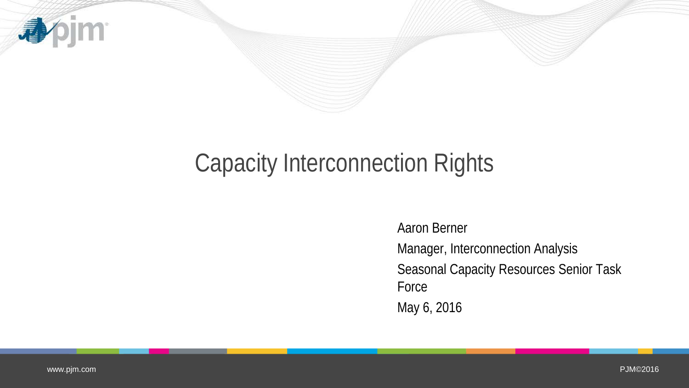

## Capacity Interconnection Rights

Aaron Berner Manager, Interconnection Analysis Seasonal Capacity Resources Senior Task Force May 6, 2016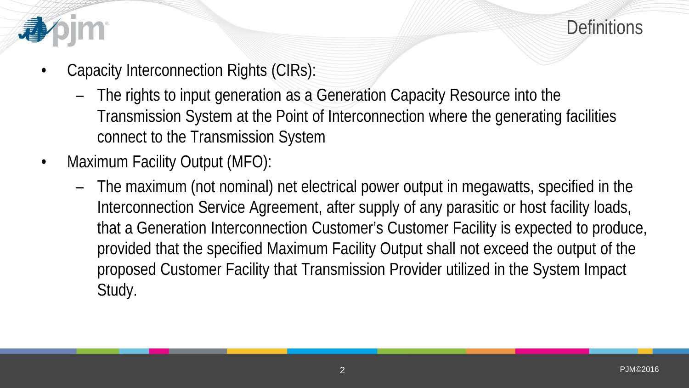



- Capacity Interconnection Rights (CIRs):
	- The rights to input generation as a Generation Capacity Resource into the Transmission System at the Point of Interconnection where the generating facilities connect to the Transmission System
- Maximum Facility Output (MFO):
	- The maximum (not nominal) net electrical power output in megawatts, specified in the Interconnection Service Agreement, after supply of any parasitic or host facility loads, that a Generation Interconnection Customer's Customer Facility is expected to produce, provided that the specified Maximum Facility Output shall not exceed the output of the proposed Customer Facility that Transmission Provider utilized in the System Impact Study.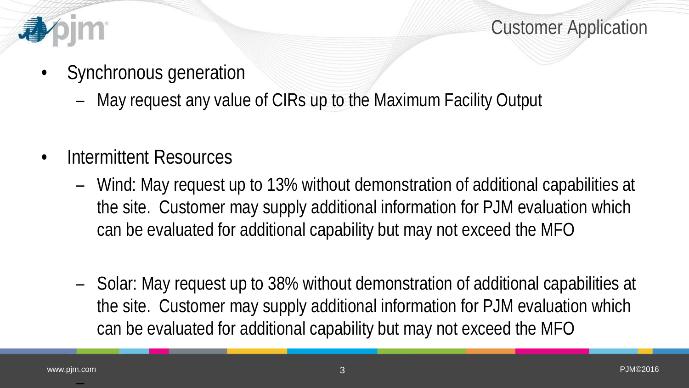

Customer Application

- Synchronous generation
	- May request any value of CIRs up to the Maximum Facility Output
- Intermittent Resources
	- Wind: May request up to 13% without demonstration of additional capabilities at the site. Customer may supply additional information for PJM evaluation which can be evaluated for additional capability but may not exceed the MFO
	- Solar: May request up to 38% without demonstration of additional capabilities at the site. Customer may supply additional information for PJM evaluation which can be evaluated for additional capability but may not exceed the MFO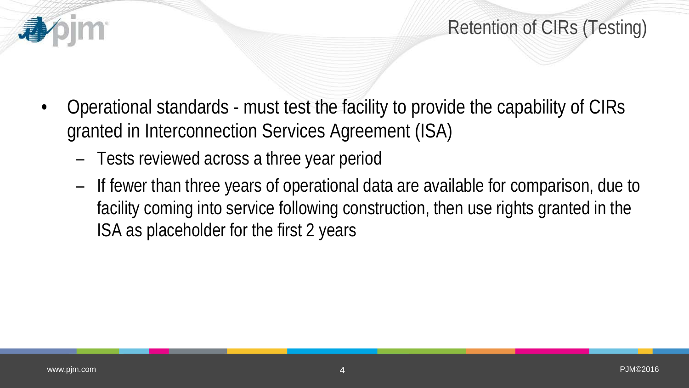

- Operational standards must test the facility to provide the capability of CIRs granted in Interconnection Services Agreement (ISA)
	- Tests reviewed across a three year period
	- If fewer than three years of operational data are available for comparison, due to facility coming into service following construction, then use rights granted in the ISA as placeholder for the first 2 years